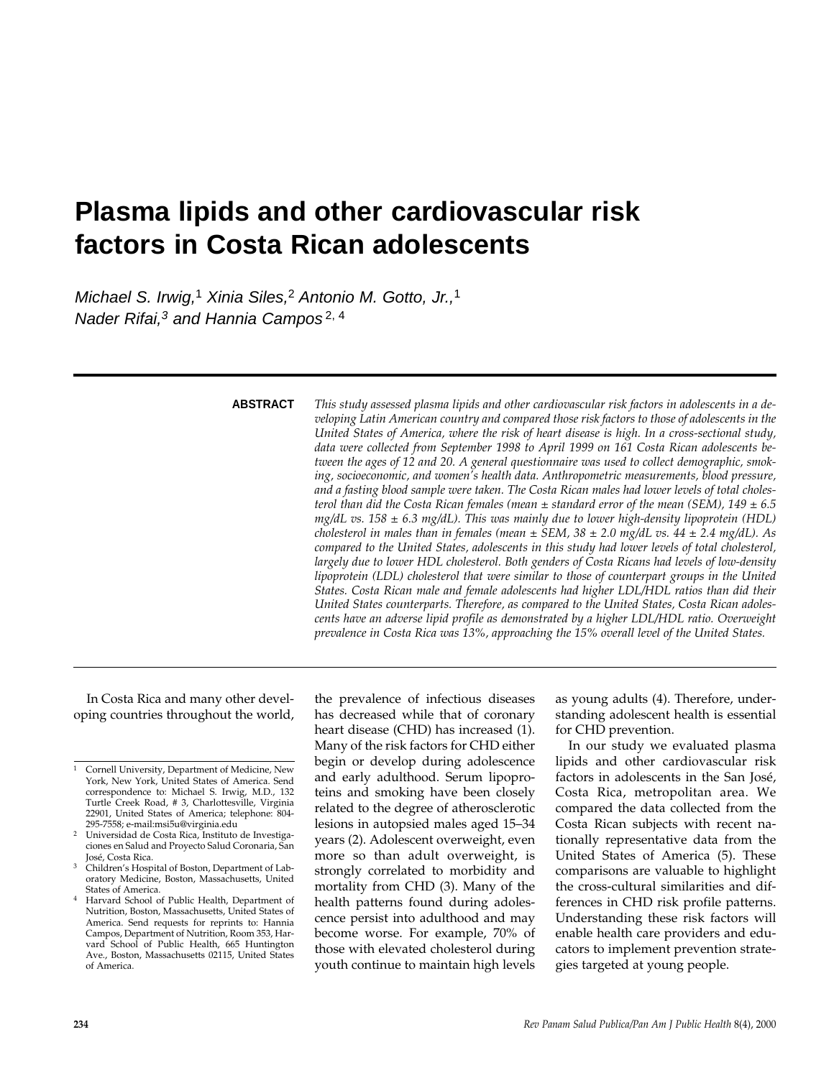# **Plasma lipids and other cardiovascular risk factors in Costa Rican adolescents**

Michael S. Irwig,<sup>1</sup> Xinia Siles,<sup>2</sup> Antonio M. Gotto, Jr.,<sup>1</sup> Nader Rifai, $3$  and Hannia Campos<sup>2, 4</sup>

## **ABSTRACT**

*This study assessed plasma lipids and other cardiovascular risk factors in adolescents in a developing Latin American country and compared those risk factors to those of adolescents in the United States of America, where the risk of heart disease is high. In a cross-sectional study, data were collected from September 1998 to April 1999 on 161 Costa Rican adolescents between the ages of 12 and 20. A general questionnaire was used to collect demographic, smoking, socioeconomic, and women's health data. Anthropometric measurements, blood pressure, and a fasting blood sample were taken. The Costa Rican males had lower levels of total cholesterol than did the Costa Rican females (mean ± standard error of the mean (SEM), 149 ± 6.5 mg/dL vs. 158 ± 6.3 mg/dL). This was mainly due to lower high-density lipoprotein (HDL) cholesterol in males than in females (mean ± SEM, 38 ± 2.0 mg/dL vs. 44 ± 2.4 mg/dL). As compared to the United States, adolescents in this study had lower levels of total cholesterol, largely due to lower HDL cholesterol. Both genders of Costa Ricans had levels of low-density lipoprotein (LDL) cholesterol that were similar to those of counterpart groups in the United States. Costa Rican male and female adolescents had higher LDL/HDL ratios than did their United States counterparts. Therefore, as compared to the United States, Costa Rican adolescents have an adverse lipid profile as demonstrated by a higher LDL/HDL ratio. Overweight prevalence in Costa Rica was 13%, approaching the 15% overall level of the United States.*

In Costa Rica and many other developing countries throughout the world,

the prevalence of infectious diseases has decreased while that of coronary heart disease (CHD) has increased (1). Many of the risk factors for CHD either begin or develop during adolescence and early adulthood. Serum lipoproteins and smoking have been closely related to the degree of atherosclerotic lesions in autopsied males aged 15–34 years (2). Adolescent overweight, even more so than adult overweight, is strongly correlated to morbidity and mortality from CHD (3). Many of the health patterns found during adolescence persist into adulthood and may become worse. For example, 70% of those with elevated cholesterol during youth continue to maintain high levels

as young adults (4). Therefore, understanding adolescent health is essential for CHD prevention.

In our study we evaluated plasma lipids and other cardiovascular risk factors in adolescents in the San José, Costa Rica, metropolitan area. We compared the data collected from the Costa Rican subjects with recent nationally representative data from the United States of America (5). These comparisons are valuable to highlight the cross-cultural similarities and differences in CHD risk profile patterns. Understanding these risk factors will enable health care providers and educators to implement prevention strategies targeted at young people.

<sup>1</sup> Cornell University, Department of Medicine, New York, New York, United States of America. Send correspondence to: Michael S. Irwig, M.D., 132 Turtle Creek Road, # 3, Charlottesville, Virginia 22901, United States of America; telephone: 804-

Universidad de Costa Rica, Instituto de Investigaciones en Salud and Proyecto Salud Coronaria, San

<sup>&</sup>lt;sup>3</sup> Children's Hospital of Boston, Department of Laboratory Medicine, Boston, Massachusetts, United States of America.

<sup>4</sup> Harvard School of Public Health, Department of Nutrition, Boston, Massachusetts, United States of America. Send requests for reprints to: Hannia Campos, Department of Nutrition, Room 353, Harvard School of Public Health, 665 Huntington Ave., Boston, Massachusetts 02115, United States of America.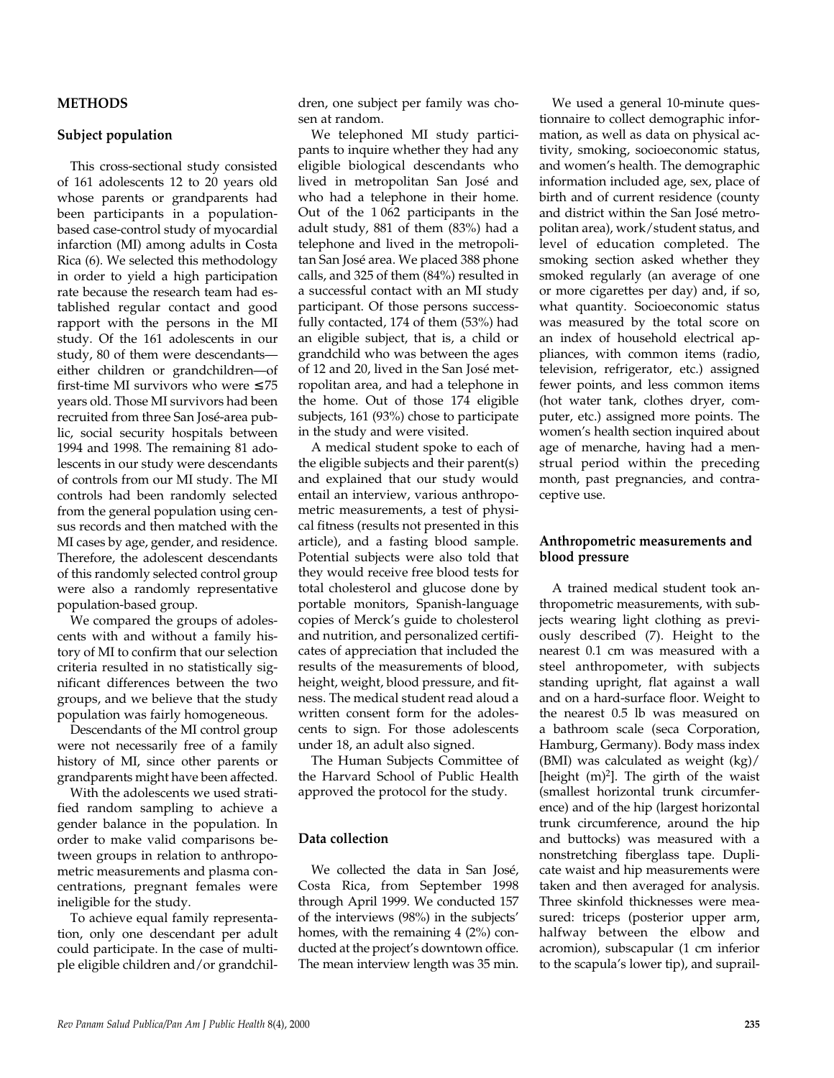**METHODS**

**Subject population**

This cross-sectional study consisted of 161 adolescents 12 to 20 years old whose parents or grandparents had been participants in a populationbased case-control study of myocardial infarction (MI) among adults in Costa Rica (6). We selected this methodology in order to yield a high participation rate because the research team had established regular contact and good rapport with the persons in the MI study. Of the 161 adolescents in our study, 80 of them were descendants either children or grandchildren—of first-time MI survivors who were  $\leq 75$ years old. Those MI survivors had been recruited from three San José-area public, social security hospitals between 1994 and 1998. The remaining 81 adolescents in our study were descendants of controls from our MI study. The MI controls had been randomly selected from the general population using census records and then matched with the MI cases by age, gender, and residence. Therefore, the adolescent descendants of this randomly selected control group were also a randomly representative population-based group.

We compared the groups of adolescents with and without a family history of MI to confirm that our selection criteria resulted in no statistically significant differences between the two groups, and we believe that the study population was fairly homogeneous.

Descendants of the MI control group were not necessarily free of a family history of MI, since other parents or grandparents might have been affected.

With the adolescents we used stratified random sampling to achieve a gender balance in the population. In order to make valid comparisons between groups in relation to anthropometric measurements and plasma concentrations, pregnant females were ineligible for the study.

To achieve equal family representation, only one descendant per adult could participate. In the case of multiple eligible children and/or grandchildren, one subject per family was chosen at random.

We telephoned MI study participants to inquire whether they had any eligible biological descendants who lived in metropolitan San José and who had a telephone in their home. Out of the 1 062 participants in the adult study, 881 of them (83%) had a telephone and lived in the metropolitan San José area. We placed 388 phone calls, and 325 of them (84%) resulted in a successful contact with an MI study participant. Of those persons successfully contacted, 174 of them (53%) had an eligible subject, that is, a child or grandchild who was between the ages of 12 and 20, lived in the San José metropolitan area, and had a telephone in the home. Out of those 174 eligible subjects, 161 (93%) chose to participate in the study and were visited.

A medical student spoke to each of the eligible subjects and their parent(s) and explained that our study would entail an interview, various anthropometric measurements, a test of physical fitness (results not presented in this article), and a fasting blood sample. Potential subjects were also told that they would receive free blood tests for total cholesterol and glucose done by portable monitors, Spanish-language copies of Merck's guide to cholesterol and nutrition, and personalized certificates of appreciation that included the results of the measurements of blood, height, weight, blood pressure, and fitness. The medical student read aloud a written consent form for the adolescents to sign. For those adolescents under 18, an adult also signed.

The Human Subjects Committee of the Harvard School of Public Health approved the protocol for the study.

## **Data collection**

We collected the data in San José, Costa Rica, from September 1998 through April 1999. We conducted 157 of the interviews (98%) in the subjects' homes, with the remaining 4 (2%) conducted at the project's downtown office. The mean interview length was 35 min.

We used a general 10-minute questionnaire to collect demographic information, as well as data on physical activity, smoking, socioeconomic status, and women's health. The demographic information included age, sex, place of birth and of current residence (county and district within the San José metropolitan area), work/student status, and level of education completed. The smoking section asked whether they smoked regularly (an average of one or more cigarettes per day) and, if so, what quantity. Socioeconomic status was measured by the total score on an index of household electrical appliances, with common items (radio, television, refrigerator, etc.) assigned fewer points, and less common items (hot water tank, clothes dryer, computer, etc.) assigned more points. The women's health section inquired about age of menarche, having had a menstrual period within the preceding month, past pregnancies, and contraceptive use.

## **Anthropometric measurements and blood pressure**

A trained medical student took anthropometric measurements, with subjects wearing light clothing as previously described (7). Height to the nearest 0.1 cm was measured with a steel anthropometer, with subjects standing upright, flat against a wall and on a hard-surface floor. Weight to the nearest 0.5 lb was measured on a bathroom scale (seca Corporation, Hamburg, Germany). Body mass index (BMI) was calculated as weight (kg)/ [height  $(m)^2$ ]. The girth of the waist (smallest horizontal trunk circumference) and of the hip (largest horizontal trunk circumference, around the hip and buttocks) was measured with a nonstretching fiberglass tape. Duplicate waist and hip measurements were taken and then averaged for analysis. Three skinfold thicknesses were measured: triceps (posterior upper arm, halfway between the elbow and acromion), subscapular (1 cm inferior to the scapula's lower tip), and suprail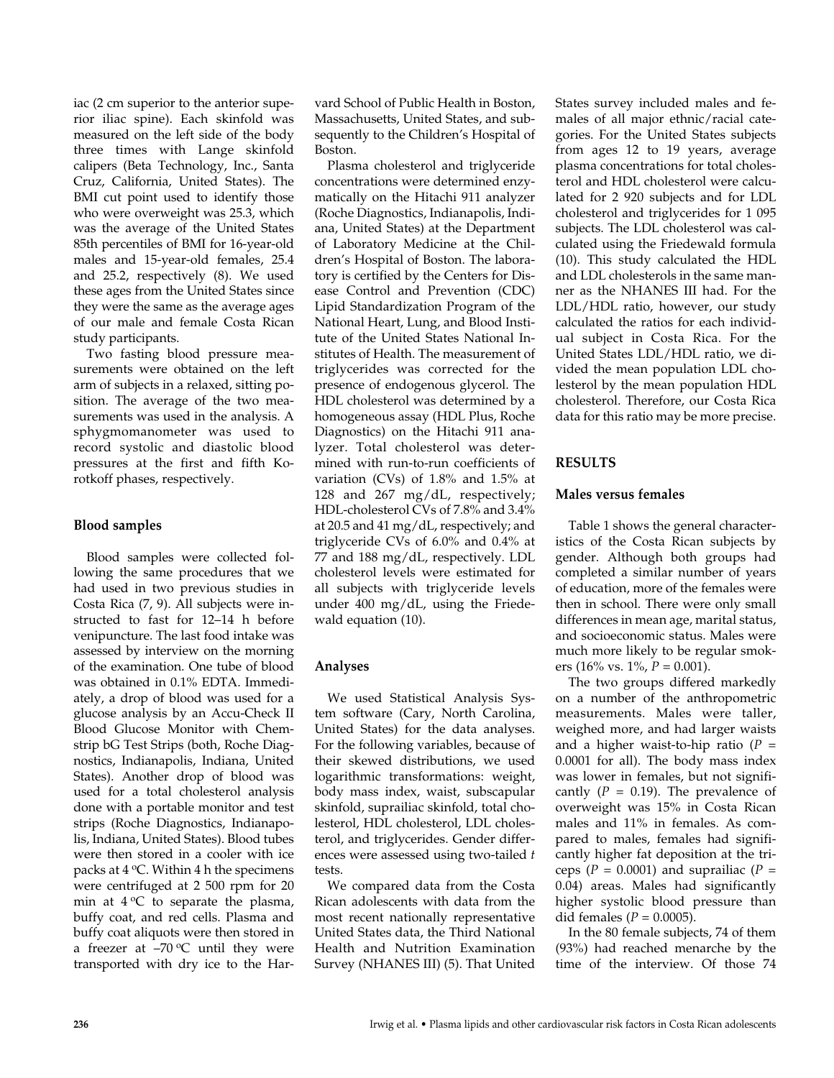iac (2 cm superior to the anterior superior iliac spine). Each skinfold was measured on the left side of the body three times with Lange skinfold calipers (Beta Technology, Inc., Santa Cruz, California, United States). The BMI cut point used to identify those who were overweight was 25.3, which was the average of the United States 85th percentiles of BMI for 16-year-old males and 15-year-old females, 25.4 and 25.2, respectively (8). We used these ages from the United States since they were the same as the average ages of our male and female Costa Rican study participants.

Two fasting blood pressure measurements were obtained on the left arm of subjects in a relaxed, sitting position. The average of the two measurements was used in the analysis. A sphygmomanometer was used to record systolic and diastolic blood pressures at the first and fifth Korotkoff phases, respectively.

## **Blood samples**

Blood samples were collected following the same procedures that we had used in two previous studies in Costa Rica (7, 9). All subjects were instructed to fast for 12–14 h before venipuncture. The last food intake was assessed by interview on the morning of the examination. One tube of blood was obtained in 0.1% EDTA. Immediately, a drop of blood was used for a glucose analysis by an Accu-Check II Blood Glucose Monitor with Chemstrip bG Test Strips (both, Roche Diagnostics, Indianapolis, Indiana, United States). Another drop of blood was used for a total cholesterol analysis done with a portable monitor and test strips (Roche Diagnostics, Indianapolis, Indiana, United States). Blood tubes were then stored in a cooler with ice packs at  $4^{\circ}$ C. Within  $4$  h the specimens were centrifuged at 2 500 rpm for 20 min at  $4^{\circ}$ C to separate the plasma, buffy coat, and red cells. Plasma and buffy coat aliquots were then stored in a freezer at  $-70$  °C until they were transported with dry ice to the Harvard School of Public Health in Boston, Massachusetts, United States, and subsequently to the Children's Hospital of Boston.

Plasma cholesterol and triglyceride concentrations were determined enzymatically on the Hitachi 911 analyzer (Roche Diagnostics, Indianapolis, Indiana, United States) at the Department of Laboratory Medicine at the Children's Hospital of Boston. The laboratory is certified by the Centers for Disease Control and Prevention (CDC) Lipid Standardization Program of the National Heart, Lung, and Blood Institute of the United States National Institutes of Health. The measurement of triglycerides was corrected for the presence of endogenous glycerol. The HDL cholesterol was determined by a homogeneous assay (HDL Plus, Roche Diagnostics) on the Hitachi 911 analyzer. Total cholesterol was determined with run-to-run coefficients of variation (CVs) of 1.8% and 1.5% at 128 and 267 mg/dL, respectively; HDL-cholesterol CVs of 7.8% and 3.4% at 20.5 and 41 mg/dL, respectively; and triglyceride CVs of 6.0% and 0.4% at 77 and 188 mg/dL, respectively. LDL cholesterol levels were estimated for all subjects with triglyceride levels under 400 mg/dL, using the Friedewald equation (10).

# **Analyses**

We used Statistical Analysis System software (Cary, North Carolina, United States) for the data analyses. For the following variables, because of their skewed distributions, we used logarithmic transformations: weight, body mass index, waist, subscapular skinfold, suprailiac skinfold, total cholesterol, HDL cholesterol, LDL cholesterol, and triglycerides. Gender differences were assessed using two-tailed *t* tests.

We compared data from the Costa Rican adolescents with data from the most recent nationally representative United States data, the Third National Health and Nutrition Examination Survey (NHANES III) (5). That United

States survey included males and females of all major ethnic/racial categories. For the United States subjects from ages 12 to 19 years, average plasma concentrations for total cholesterol and HDL cholesterol were calculated for 2 920 subjects and for LDL cholesterol and triglycerides for 1 095 subjects. The LDL cholesterol was calculated using the Friedewald formula (10). This study calculated the HDL and LDL cholesterols in the same manner as the NHANES III had. For the LDL/HDL ratio, however, our study calculated the ratios for each individual subject in Costa Rica. For the United States LDL/HDL ratio, we divided the mean population LDL cholesterol by the mean population HDL cholesterol. Therefore, our Costa Rica data for this ratio may be more precise.

# **RESULTS**

## **Males versus females**

Table 1 shows the general characteristics of the Costa Rican subjects by gender. Although both groups had completed a similar number of years of education, more of the females were then in school. There were only small differences in mean age, marital status, and socioeconomic status. Males were much more likely to be regular smokers (16% vs. 1%, *P* = 0.001).

The two groups differed markedly on a number of the anthropometric measurements. Males were taller, weighed more, and had larger waists and a higher waist-to-hip ratio (*P* = 0.0001 for all). The body mass index was lower in females, but not significantly  $(P = 0.19)$ . The prevalence of overweight was 15% in Costa Rican males and 11% in females. As compared to males, females had significantly higher fat deposition at the triceps  $(P = 0.0001)$  and suprailiac  $(P =$ 0.04) areas. Males had significantly higher systolic blood pressure than did females ( $P = 0.0005$ ).

In the 80 female subjects, 74 of them (93%) had reached menarche by the time of the interview. Of those 74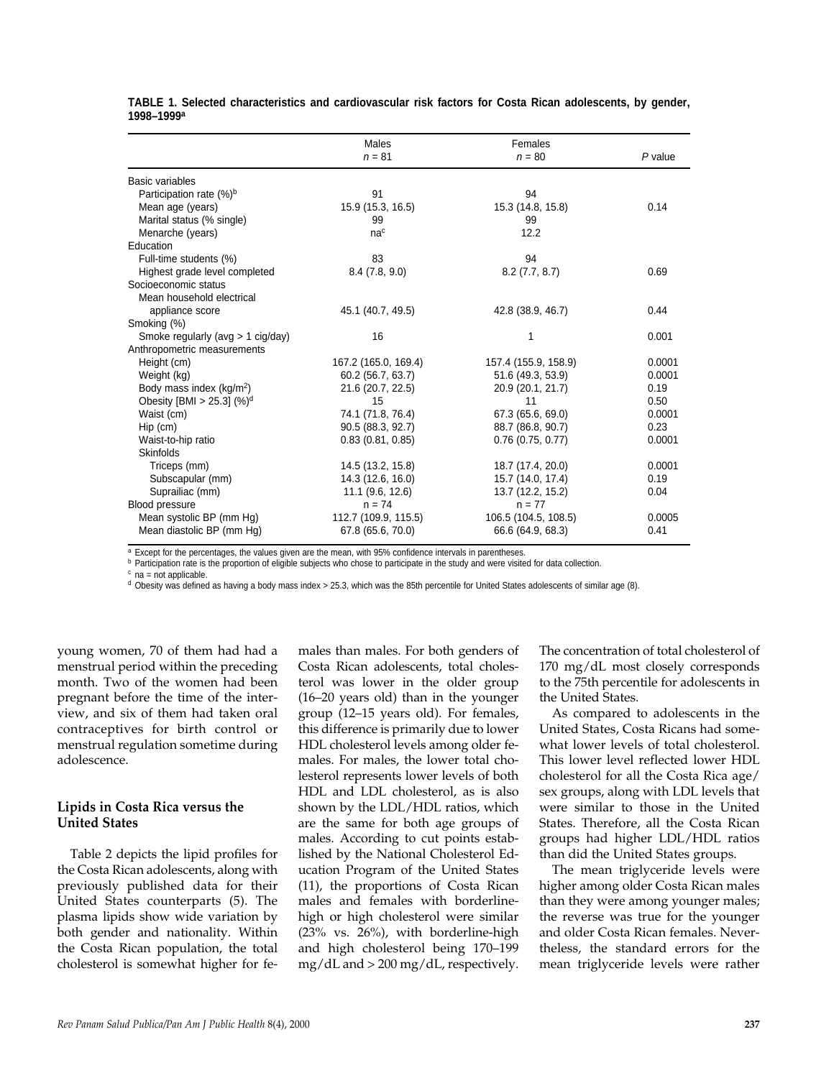|                                      | Males                | Females              |         |
|--------------------------------------|----------------------|----------------------|---------|
|                                      | $n = 81$             | $n = 80$             | P value |
| Basic variables                      |                      |                      |         |
| Participation rate (%) <sup>b</sup>  | 91                   | 94                   |         |
| Mean age (years)                     | 15.9 (15.3, 16.5)    | 15.3 (14.8, 15.8)    | 0.14    |
| Marital status (% single)            | 99                   | 99                   |         |
| Menarche (years)                     | na <sup>c</sup>      | 12.2                 |         |
| Education                            |                      |                      |         |
| Full-time students (%)               | 83                   | 94                   |         |
| Highest grade level completed        | 8.4(7.8, 9.0)        | $8.2$ (7.7, $8.7$ )  | 0.69    |
| Socioeconomic status                 |                      |                      |         |
| Mean household electrical            |                      |                      |         |
| appliance score                      | 45.1 (40.7, 49.5)    | 42.8 (38.9, 46.7)    | 0.44    |
| Smoking (%)                          |                      |                      |         |
| Smoke regularly (avg > 1 cig/day)    | 16                   | 1                    | 0.001   |
| Anthropometric measurements          |                      |                      |         |
| Height (cm)                          | 167.2 (165.0, 169.4) | 157.4 (155.9, 158.9) | 0.0001  |
| Weight (kg)                          | 60.2 (56.7, 63.7)    | 51.6 (49.3, 53.9)    | 0.0001  |
| Body mass index (kg/m <sup>2</sup> ) | 21.6 (20.7, 22.5)    | 20.9 (20.1, 21.7)    | 0.19    |
| Obesity [BMI > 25.3] $(\%)^d$        | 15                   | 11                   | 0.50    |
| Waist (cm)                           | 74.1 (71.8, 76.4)    | 67.3 (65.6, 69.0)    | 0.0001  |
| $Hip$ (cm)                           | 90.5 (88.3, 92.7)    | 88.7 (86.8, 90.7)    | 0.23    |
| Waist-to-hip ratio                   | 0.83(0.81, 0.85)     | $0.76$ (0.75, 0.77)  | 0.0001  |
| <b>Skinfolds</b>                     |                      |                      |         |
| Triceps (mm)                         | 14.5 (13.2, 15.8)    | 18.7 (17.4, 20.0)    | 0.0001  |
| Subscapular (mm)                     | 14.3 (12.6, 16.0)    | 15.7 (14.0, 17.4)    | 0.19    |
| Suprailiac (mm)                      | 11.1 (9.6, 12.6)     | 13.7 (12.2, 15.2)    | 0.04    |
| Blood pressure                       | $n = 74$             | $n = 77$             |         |
| Mean systolic BP (mm Hg)             | 112.7 (109.9, 115.5) | 106.5 (104.5, 108.5) | 0.0005  |
| Mean diastolic BP (mm Hg)            | 67.8 (65.6, 70.0)    | 66.6 (64.9, 68.3)    | 0.41    |

**TABLE 1. Selected characteristics and cardiovascular risk factors for Costa Rican adolescents, by gender, 1998–1999a**

a Except for the percentages, the values given are the mean, with 95% confidence intervals in parentheses.

**b** Participation rate is the proportion of eligible subjects who chose to participate in the study and were visited for data collection.

 $c$  na = not applicable.

 $d$  Obesity was defined as having a body mass index > 25.3, which was the 85th percentile for United States adolescents of similar age (8).

young women, 70 of them had had a menstrual period within the preceding month. Two of the women had been pregnant before the time of the interview, and six of them had taken oral contraceptives for birth control or menstrual regulation sometime during adolescence.

## **Lipids in Costa Rica versus the United States**

Table 2 depicts the lipid profiles for the Costa Rican adolescents, along with previously published data for their United States counterparts (5). The plasma lipids show wide variation by both gender and nationality. Within the Costa Rican population, the total cholesterol is somewhat higher for females than males. For both genders of Costa Rican adolescents, total cholesterol was lower in the older group (16–20 years old) than in the younger group (12–15 years old). For females, this difference is primarily due to lower HDL cholesterol levels among older females. For males, the lower total cholesterol represents lower levels of both HDL and LDL cholesterol, as is also shown by the LDL/HDL ratios, which are the same for both age groups of males. According to cut points established by the National Cholesterol Education Program of the United States (11), the proportions of Costa Rican males and females with borderlinehigh or high cholesterol were similar (23% vs. 26%), with borderline-high and high cholesterol being 170–199 mg/dL and > 200 mg/dL, respectively.

The concentration of total cholesterol of 170 mg/dL most closely corresponds to the 75th percentile for adolescents in the United States.

As compared to adolescents in the United States, Costa Ricans had somewhat lower levels of total cholesterol. This lower level reflected lower HDL cholesterol for all the Costa Rica age/ sex groups, along with LDL levels that were similar to those in the United States. Therefore, all the Costa Rican groups had higher LDL/HDL ratios than did the United States groups.

The mean triglyceride levels were higher among older Costa Rican males than they were among younger males; the reverse was true for the younger and older Costa Rican females. Nevertheless, the standard errors for the mean triglyceride levels were rather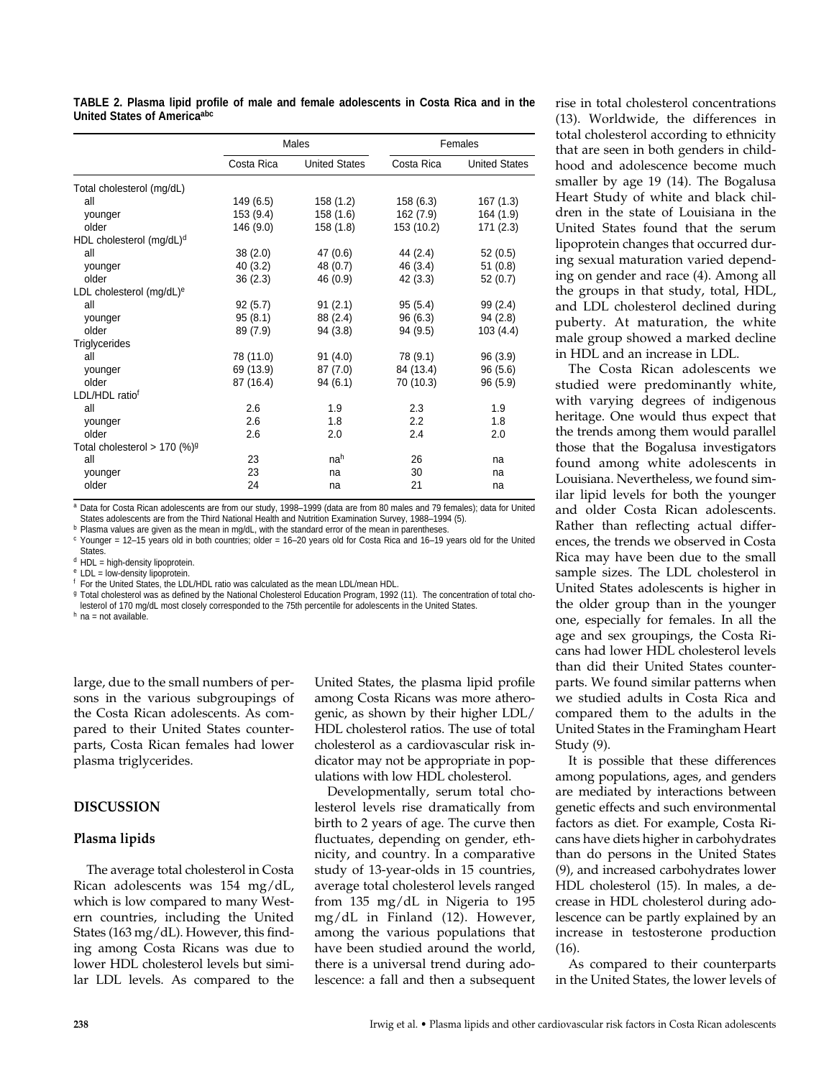| TABLE 2. Plasma lipid profile of male and female adolescents in Costa Rica and in the |  |  |  |  |  |  |  |
|---------------------------------------------------------------------------------------|--|--|--|--|--|--|--|
| United States of Americaabc                                                           |  |  |  |  |  |  |  |

|                                             |            | Males                | Females    |                      |  |
|---------------------------------------------|------------|----------------------|------------|----------------------|--|
|                                             | Costa Rica | <b>United States</b> | Costa Rica | <b>United States</b> |  |
| Total cholesterol (mg/dL)                   |            |                      |            |                      |  |
| all                                         | 149 (6.5)  | 158 (1.2)            | 158(6.3)   | 167(1.3)             |  |
| younger                                     | 153 (9.4)  | 158 (1.6)            | 162 (7.9)  | 164 (1.9)            |  |
| older                                       | 146 (9.0)  | 158(1.8)             | 153 (10.2) | 171(2.3)             |  |
| HDL cholesterol (mg/dL) <sup>d</sup>        |            |                      |            |                      |  |
| all                                         | 38(2.0)    | 47(0.6)              | 44 (2.4)   | 52(0.5)              |  |
| younger                                     | 40(3.2)    | 48 (0.7)             | 46 (3.4)   | 51(0.8)              |  |
| older                                       | 36(2.3)    | 46 (0.9)             | 42(3.3)    | 52(0.7)              |  |
| LDL cholesterol (mg/dL) <sup>e</sup>        |            |                      |            |                      |  |
| all                                         | 92(5.7)    | 91(2.1)              | 95(5.4)    | 99 (2.4)             |  |
| younger                                     | 95(8.1)    | 88 (2.4)             | 96(6.3)    | 94(2.8)              |  |
| older                                       | 89 (7.9)   | 94 (3.8)             | 94 (9.5)   | 103(4.4)             |  |
| <b>Triglycerides</b>                        |            |                      |            |                      |  |
| all                                         | 78 (11.0)  | 91(4.0)              | 78 (9.1)   | 96 (3.9)             |  |
| younger                                     | 69 (13.9)  | 87(7.0)              | 84 (13.4)  | 96(5.6)              |  |
| older                                       | 87 (16.4)  | 94(6.1)              | 70 (10.3)  | 96 (5.9)             |  |
| LDL/HDL ratiof                              |            |                      |            |                      |  |
| all                                         | 2.6        | 1.9                  | 2.3        | 1.9                  |  |
| younger                                     | 2.6        | 1.8                  | 2.2        | 1.8                  |  |
| older                                       | 2.6        | 2.0                  | 2.4        | 2.0                  |  |
| Total cholesterol > 170 $(\%)$ <sup>g</sup> |            |                      |            |                      |  |
| all                                         | 23         | nah                  | 26         | na                   |  |
| younger                                     | 23         | na                   | 30         | na                   |  |
| older                                       | 24         | na                   | 21         | na                   |  |

a Data for Costa Rican adolescents are from our study, 1998-1999 (data are from 80 males and 79 females); data for United States adolescents are from the Third National Health and Nutrition Examination Survey, 1988–1994 (5).

b Plasma values are given as the mean in mg/dL, with the standard error of the mean in parentheses.

 $c$  Younger = 12-15 years old in both countries; older = 16-20 years old for Costa Rica and 16-19 years old for the United **States** 

<sup>d</sup> HDL = high-density lipoprotein.

<sup>e</sup> LDL = low-density lipoprotein.

<sup>f</sup> For the United States, the LDL/HDL ratio was calculated as the mean LDL/mean HDL.

<sup>g</sup> Total cholesterol was as defined by the National Cholesterol Education Program, 1992 (11). The concentration of total cholesterol of 170 mg/dL most closely corresponded to the 75th percentile for adolescents in the United States.<br>h na = not available.

large, due to the small numbers of persons in the various subgroupings of the Costa Rican adolescents. As compared to their United States counterparts, Costa Rican females had lower plasma triglycerides.

## **DISCUSSION**

## **Plasma lipids**

The average total cholesterol in Costa Rican adolescents was 154 mg/dL, which is low compared to many Western countries, including the United States (163 mg/dL). However, this finding among Costa Ricans was due to lower HDL cholesterol levels but similar LDL levels. As compared to the

United States, the plasma lipid profile among Costa Ricans was more atherogenic, as shown by their higher LDL/ HDL cholesterol ratios. The use of total cholesterol as a cardiovascular risk indicator may not be appropriate in populations with low HDL cholesterol.

Developmentally, serum total cholesterol levels rise dramatically from birth to 2 years of age. The curve then fluctuates, depending on gender, ethnicity, and country. In a comparative study of 13-year-olds in 15 countries, average total cholesterol levels ranged from 135 mg/dL in Nigeria to 195 mg/dL in Finland (12). However, among the various populations that have been studied around the world, there is a universal trend during adolescence: a fall and then a subsequent

rise in total cholesterol concentrations (13). Worldwide, the differences in total cholesterol according to ethnicity that are seen in both genders in childhood and adolescence become much smaller by age 19 (14). The Bogalusa Heart Study of white and black children in the state of Louisiana in the United States found that the serum lipoprotein changes that occurred during sexual maturation varied depending on gender and race (4). Among all the groups in that study, total, HDL, and LDL cholesterol declined during puberty. At maturation, the white male group showed a marked decline in HDL and an increase in LDL.

The Costa Rican adolescents we studied were predominantly white, with varying degrees of indigenous heritage. One would thus expect that the trends among them would parallel those that the Bogalusa investigators found among white adolescents in Louisiana. Nevertheless, we found similar lipid levels for both the younger and older Costa Rican adolescents. Rather than reflecting actual differences, the trends we observed in Costa Rica may have been due to the small sample sizes. The LDL cholesterol in United States adolescents is higher in the older group than in the younger one, especially for females. In all the age and sex groupings, the Costa Ricans had lower HDL cholesterol levels than did their United States counterparts. We found similar patterns when we studied adults in Costa Rica and compared them to the adults in the United States in the Framingham Heart Study (9).

It is possible that these differences among populations, ages, and genders are mediated by interactions between genetic effects and such environmental factors as diet. For example, Costa Ricans have diets higher in carbohydrates than do persons in the United States (9), and increased carbohydrates lower HDL cholesterol (15). In males, a decrease in HDL cholesterol during adolescence can be partly explained by an increase in testosterone production (16).

As compared to their counterparts in the United States, the lower levels of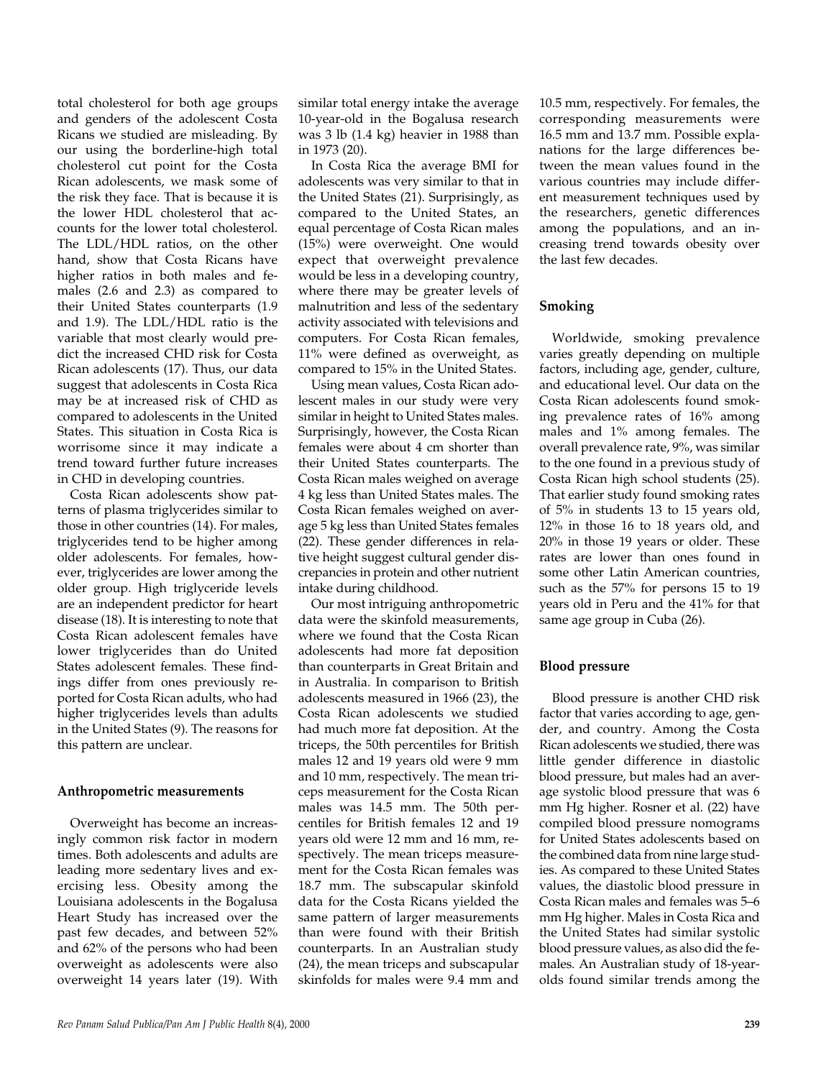total cholesterol for both age groups and genders of the adolescent Costa Ricans we studied are misleading. By our using the borderline-high total cholesterol cut point for the Costa Rican adolescents, we mask some of the risk they face. That is because it is the lower HDL cholesterol that accounts for the lower total cholesterol. The LDL/HDL ratios, on the other hand, show that Costa Ricans have higher ratios in both males and females (2.6 and 2.3) as compared to their United States counterparts (1.9 and 1.9). The LDL/HDL ratio is the variable that most clearly would predict the increased CHD risk for Costa Rican adolescents (17). Thus, our data suggest that adolescents in Costa Rica may be at increased risk of CHD as compared to adolescents in the United States. This situation in Costa Rica is worrisome since it may indicate a trend toward further future increases in CHD in developing countries.

Costa Rican adolescents show patterns of plasma triglycerides similar to those in other countries (14). For males, triglycerides tend to be higher among older adolescents. For females, however, triglycerides are lower among the older group. High triglyceride levels are an independent predictor for heart disease (18). It is interesting to note that Costa Rican adolescent females have lower triglycerides than do United States adolescent females. These findings differ from ones previously reported for Costa Rican adults, who had higher triglycerides levels than adults in the United States (9). The reasons for this pattern are unclear.

## **Anthropometric measurements**

Overweight has become an increasingly common risk factor in modern times. Both adolescents and adults are leading more sedentary lives and exercising less. Obesity among the Louisiana adolescents in the Bogalusa Heart Study has increased over the past few decades, and between 52% and 62% of the persons who had been overweight as adolescents were also overweight 14 years later (19). With

similar total energy intake the average 10-year-old in the Bogalusa research was 3 lb (1.4 kg) heavier in 1988 than in 1973 (20).

In Costa Rica the average BMI for adolescents was very similar to that in the United States (21). Surprisingly, as compared to the United States, an equal percentage of Costa Rican males (15%) were overweight. One would expect that overweight prevalence would be less in a developing country, where there may be greater levels of malnutrition and less of the sedentary activity associated with televisions and computers. For Costa Rican females, 11% were defined as overweight, as compared to 15% in the United States.

Using mean values, Costa Rican adolescent males in our study were very similar in height to United States males. Surprisingly, however, the Costa Rican females were about 4 cm shorter than their United States counterparts. The Costa Rican males weighed on average 4 kg less than United States males. The Costa Rican females weighed on average 5 kg less than United States females (22). These gender differences in relative height suggest cultural gender discrepancies in protein and other nutrient intake during childhood.

Our most intriguing anthropometric data were the skinfold measurements, where we found that the Costa Rican adolescents had more fat deposition than counterparts in Great Britain and in Australia. In comparison to British adolescents measured in 1966 (23), the Costa Rican adolescents we studied had much more fat deposition. At the triceps, the 50th percentiles for British males 12 and 19 years old were 9 mm and 10 mm, respectively. The mean triceps measurement for the Costa Rican males was 14.5 mm. The 50th percentiles for British females 12 and 19 years old were 12 mm and 16 mm, respectively. The mean triceps measurement for the Costa Rican females was 18.7 mm. The subscapular skinfold data for the Costa Ricans yielded the same pattern of larger measurements than were found with their British counterparts. In an Australian study (24), the mean triceps and subscapular skinfolds for males were 9.4 mm and

10.5 mm, respectively. For females, the corresponding measurements were 16.5 mm and 13.7 mm. Possible explanations for the large differences between the mean values found in the various countries may include different measurement techniques used by the researchers, genetic differences among the populations, and an increasing trend towards obesity over the last few decades.

## **Smoking**

Worldwide, smoking prevalence varies greatly depending on multiple factors, including age, gender, culture, and educational level. Our data on the Costa Rican adolescents found smoking prevalence rates of 16% among males and 1% among females. The overall prevalence rate, 9%, was similar to the one found in a previous study of Costa Rican high school students (25). That earlier study found smoking rates of 5% in students 13 to 15 years old, 12% in those 16 to 18 years old, and 20% in those 19 years or older. These rates are lower than ones found in some other Latin American countries, such as the 57% for persons 15 to 19 years old in Peru and the 41% for that same age group in Cuba (26).

## **Blood pressure**

Blood pressure is another CHD risk factor that varies according to age, gender, and country. Among the Costa Rican adolescents we studied, there was little gender difference in diastolic blood pressure, but males had an average systolic blood pressure that was 6 mm Hg higher. Rosner et al. (22) have compiled blood pressure nomograms for United States adolescents based on the combined data from nine large studies. As compared to these United States values, the diastolic blood pressure in Costa Rican males and females was 5–6 mm Hg higher. Males in Costa Rica and the United States had similar systolic blood pressure values, as also did the females. An Australian study of 18-yearolds found similar trends among the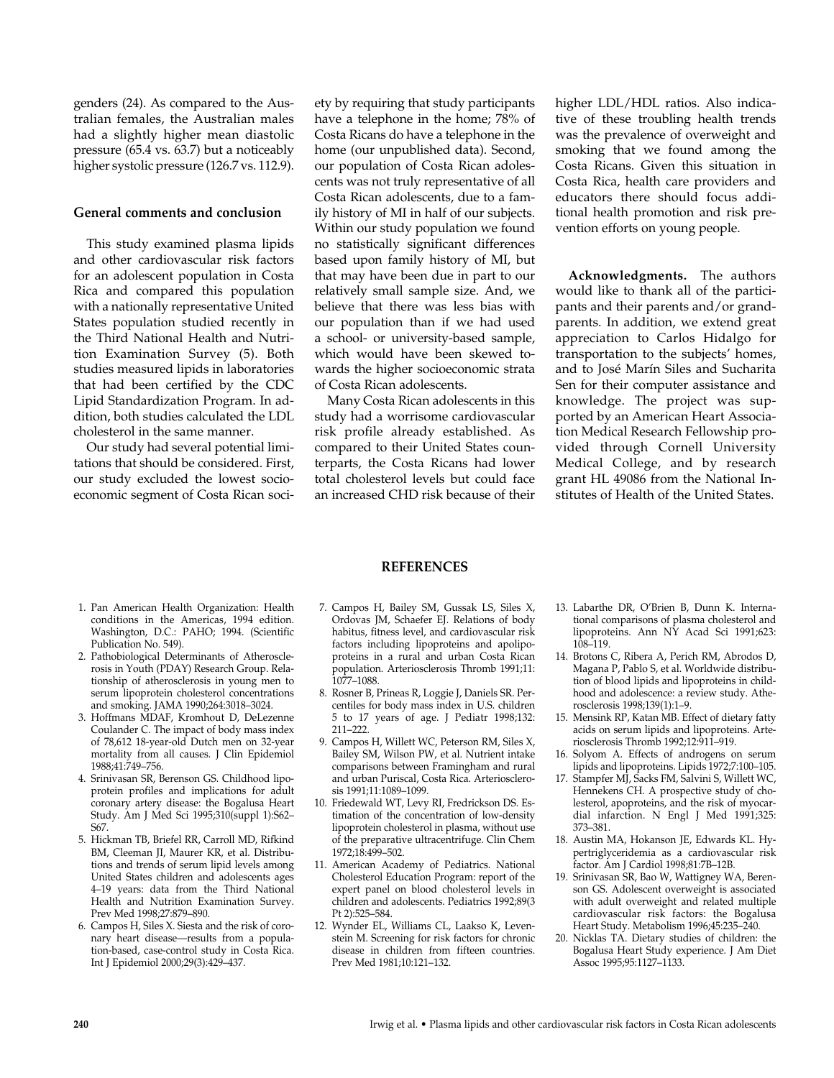genders (24). As compared to the Australian females, the Australian males had a slightly higher mean diastolic pressure (65.4 vs. 63.7) but a noticeably higher systolic pressure (126.7 vs. 112.9).

#### **General comments and conclusion**

This study examined plasma lipids and other cardiovascular risk factors for an adolescent population in Costa Rica and compared this population with a nationally representative United States population studied recently in the Third National Health and Nutrition Examination Survey (5). Both studies measured lipids in laboratories that had been certified by the CDC Lipid Standardization Program. In addition, both studies calculated the LDL cholesterol in the same manner.

Our study had several potential limitations that should be considered. First, our study excluded the lowest socioeconomic segment of Costa Rican society by requiring that study participants have a telephone in the home; 78% of Costa Ricans do have a telephone in the home (our unpublished data). Second, our population of Costa Rican adolescents was not truly representative of all Costa Rican adolescents, due to a family history of MI in half of our subjects. Within our study population we found no statistically significant differences based upon family history of MI, but that may have been due in part to our relatively small sample size. And, we believe that there was less bias with our population than if we had used a school- or university-based sample, which would have been skewed towards the higher socioeconomic strata of Costa Rican adolescents.

Many Costa Rican adolescents in this study had a worrisome cardiovascular risk profile already established. As compared to their United States counterparts, the Costa Ricans had lower total cholesterol levels but could face an increased CHD risk because of their

higher LDL/HDL ratios. Also indicative of these troubling health trends was the prevalence of overweight and smoking that we found among the Costa Ricans. Given this situation in Costa Rica, health care providers and educators there should focus additional health promotion and risk prevention efforts on young people.

**Acknowledgments.** The authors

would like to thank all of the participants and their parents and/or grandparents. In addition, we extend great appreciation to Carlos Hidalgo for transportation to the subjects' homes, and to José Marín Siles and Sucharita Sen for their computer assistance and knowledge. The project was supported by an American Heart Association Medical Research Fellowship provided through Cornell University Medical College, and by research grant HL 49086 from the National Institutes of Health of the United States.

#### **REFERENCES**

- 1. Pan American Health Organization: Health conditions in the Americas, 1994 edition. Washington, D.C.: PAHO; 1994. (Scientific Publication No. 549).
- 2. Pathobiological Determinants of Atherosclerosis in Youth (PDAY) Research Group. Relationship of atherosclerosis in young men to serum lipoprotein cholesterol concentrations and smoking. JAMA 1990;264:3018–3024.
- 3. Hoffmans MDAF, Kromhout D, DeLezenne Coulander C. The impact of body mass index of 78,612 18-year-old Dutch men on 32-year mortality from all causes. J Clin Epidemiol 1988;41:749–756.
- 4. Srinivasan SR, Berenson GS. Childhood lipoprotein profiles and implications for adult coronary artery disease: the Bogalusa Heart Study. Am J Med Sci 1995;310(suppl 1):S62– S67.
- 5. Hickman TB, Briefel RR, Carroll MD, Rifkind BM, Cleeman JI, Maurer KR, et al. Distributions and trends of serum lipid levels among United States children and adolescents ages 4–19 years: data from the Third National Health and Nutrition Examination Survey. Prev Med 1998;27:879–890.
- 6. Campos H, Siles X. Siesta and the risk of coronary heart disease—results from a population-based, case-control study in Costa Rica. Int J Epidemiol 2000;29(3):429–437.
- 7. Campos H, Bailey SM, Gussak LS, Siles X, Ordovas JM, Schaefer EJ. Relations of body habitus, fitness level, and cardiovascular risk factors including lipoproteins and apolipoproteins in a rural and urban Costa Rican population. Arteriosclerosis Thromb 1991;11: 1077–1088.
- 8. Rosner B, Prineas R, Loggie J, Daniels SR. Percentiles for body mass index in U.S. children 5 to 17 years of age. J Pediatr 1998;132: 211–222.
- 9. Campos H, Willett WC, Peterson RM, Siles X, Bailey SM, Wilson PW, et al. Nutrient intake comparisons between Framingham and rural and urban Puriscal, Costa Rica. Arteriosclerosis 1991;11:1089–1099.
- 10. Friedewald WT, Levy RI, Fredrickson DS. Estimation of the concentration of low-density lipoprotein cholesterol in plasma, without use of the preparative ultracentrifuge. Clin Chem 1972;18:499–502.
- 11. American Academy of Pediatrics. National Cholesterol Education Program: report of the expert panel on blood cholesterol levels in children and adolescents. Pediatrics 1992;89(3 Pt 2):525–584.
- 12. Wynder EL, Williams CL, Laakso K, Levenstein M. Screening for risk factors for chronic disease in children from fifteen countries. Prev Med 1981;10:121–132.
- 13. Labarthe DR, O'Brien B, Dunn K. International comparisons of plasma cholesterol and lipoproteins. Ann NY Acad Sci 1991;623: 108–119.
- 14. Brotons C, Ribera A, Perich RM, Abrodos D, Magana P, Pablo S, et al. Worldwide distribution of blood lipids and lipoproteins in childhood and adolescence: a review study. Atherosclerosis 1998;139(1):1–9.
- 15. Mensink RP, Katan MB. Effect of dietary fatty acids on serum lipids and lipoproteins. Arteriosclerosis Thromb 1992;12:911–919.
- 16. Solyom A. Effects of androgens on serum lipids and lipoproteins. Lipids 1972;7:100–105.
- 17. Stampfer MJ, Sacks FM, Salvini S, Willett WC, Hennekens CH. A prospective study of cholesterol, apoproteins, and the risk of myocardial infarction. N Engl J Med 1991;325: 373–381.
- 18. Austin MA, Hokanson JE, Edwards KL. Hypertriglyceridemia as a cardiovascular risk factor. Am J Cardiol 1998;81:7B–12B.
- 19. Srinivasan SR, Bao W, Wattigney WA, Berenson GS. Adolescent overweight is associated with adult overweight and related multiple cardiovascular risk factors: the Bogalusa Heart Study. Metabolism 1996;45:235–240.
- 20. Nicklas TA. Dietary studies of children: the Bogalusa Heart Study experience. J Am Diet Assoc 1995;95:1127–1133.